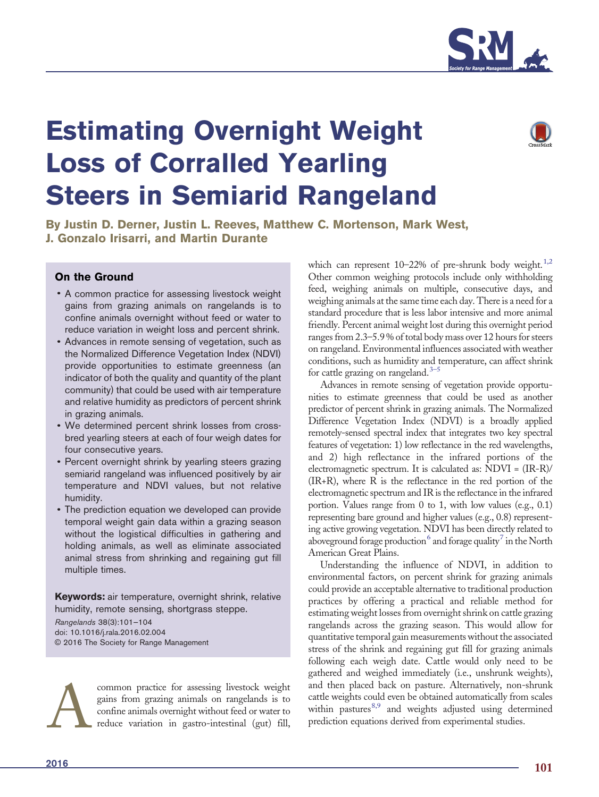

# Estimating Overnight Weight Loss of Corralled Yearling Steers in Semiarid Rangeland



By Justin D. Derner, Justin L. Reeves, Matthew C. Mortenson, Mark West, J. Gonzalo Irisarri, and Martin Durante

## On the Ground

- A common practice for assessing livestock weight gains from grazing animals on rangelands is to confine animals overnight without feed or water to reduce variation in weight loss and percent shrink.
- Advances in remote sensing of vegetation, such as the Normalized Difference Vegetation Index (NDVI) provide opportunities to estimate greenness (an indicator of both the quality and quantity of the plant community) that could be used with air temperature and relative humidity as predictors of percent shrink in grazing animals.
- We determined percent shrink losses from crossbred yearling steers at each of four weigh dates for four consecutive years.
- Percent overnight shrink by yearling steers grazing semiarid rangeland was influenced positively by air temperature and NDVI values, but not relative humidity.
- The prediction equation we developed can provide temporal weight gain data within a grazing season without the logistical difficulties in gathering and holding animals, as well as eliminate associated animal stress from shrinking and regaining gut fill multiple times.

Keywords: air temperature, overnight shrink, relative humidity, remote sensing, shortgrass steppe.

Rangelands 38(3):101—104 doi: 10.1016/j.rala.2016.02.004 © 2016 The Society for Range Management



common practice for assessing livestock weight gains from grazing animals on rangelands is to confine animals overnight without feed or water to reduce variation in gastro-intestinal (gut) fill,

which can represent  $10-22\%$  of pre-shrunk body weight[.](#page-3-0)<sup>[1,2](#page-3-0)</sup> Other common weighing protocols include only withholding feed, weighing animals on multiple, consecutive days, and weighing animals at the same time each day. There is a need for a standard procedure that is less labor intensive and more animal friendly. Percent animal weight lost during this overnight period ranges from 2.3–5.9 % of total body mass over 12 hours for steers on rangeland. Environmental influences associated with weather conditions, such as humidity a[nd t](#page-3-0)emperature, can affect shrink for cattle grazing on rangeland[.](#page-3-0) $3-5$ 

Advances in remote sensing of vegetation provide opportunities to estimate greenness that could be used as another predictor of percent shrink in grazing animals. The Normalized Difference Vegetation Index (NDVI) is a broadly applied remotely-sensed spectral index that integrates two key spectral features of vegetation: 1) low reflectance in the red wavelengths, and 2) high reflectance in the infrared portions of the electromagnetic spectrum. It is calculated as: NDVI = (IR-R)/ (IR+R), where R is the reflectance in the red portion of the electromagnetic spectrum and IR is the reflectance in the infrared portion. Values range from 0 to 1, with low values (e.g., 0.1) representing bare ground and higher values (e.g., 0.8) representing active growing vegetation. NDVI has been directly related to abovegrou[n](#page-3-0)d forage production<sup>[6](#page-3-0)</sup> and forage qualit[y](#page-3-0)<sup>[7](#page-3-0)</sup> in the North American Great Plains.

Understanding the influence of NDVI, in addition to environmental factors, on percent shrink for grazing animals could provide an acceptable alternative to traditional production practices by offering a practical and reliable method for estimating weight losses from overnight shrink on cattle grazing rangelands across the grazing season. This would allow for quantitative temporal gain measurements without the associated stress of the shrink and regaining gut fill for grazing animals following each weigh date. Cattle would only need to be gathered and weighed immediately (i.e., unshrunk weights), and then placed back on pasture. Alternatively, non-shrunk cattle weights could even be obtained automatically from scales<br>within pastures<sup>8,9</sup> and weights adjusted using determined common practice for a[s](#page-3-0)sessing livestock weight<br>gains from grazing animals on rangelands is to<br>cattle weights could even be obtained automatically from scales<br>confine animals overnight without feed or water to<br>rediction equ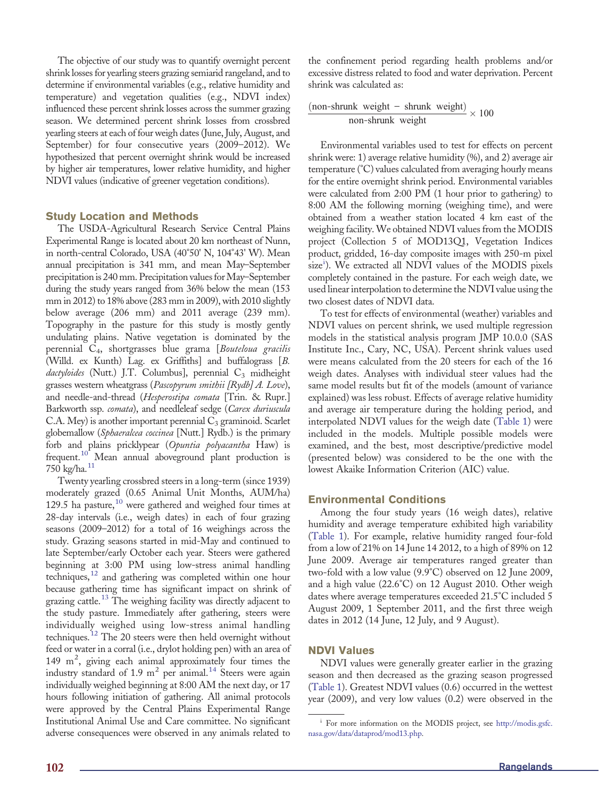The objective of our study was to quantify overnight percent shrink losses for yearling steers grazing semiarid rangeland, and to determine if environmental variables (e.g., relative humidity and temperature) and vegetation qualities (e.g., NDVI index) influenced these percent shrink losses across the summer grazing season. We determined percent shrink losses from crossbred yearling steers at each of four weigh dates (June, July, August, and September) for four consecutive years (2009–2012). We hypothesized that percent overnight shrink would be increased by higher air temperatures, lower relative humidity, and higher NDVI values (indicative of greener vegetation conditions).

## Study Location and Methods

The USDA-Agricultural Research Service Central Plains Experimental Range is located about 20 km northeast of Nunn, in north-central Colorado, USA (40°50' N, 104°43' W). Mean annual precipitation is 341 mm, and mean May–September precipitation is 240 mm. Precipitation values for May-September during the study years ranged from 36% below the mean (153 mm in 2012) to 18% above (283 mm in 2009), with 2010 slightly below average (206 mm) and 2011 average (239 mm). Topography in the pasture for this study is mostly gently undulating plains. Native vegetation is dominated by the perennial C4, shortgrasses blue grama [Bouteloua gracilis (Willd. ex Kunth) Lag. ex Griffiths] and buffalograss [B.  $\emph{dactyloides}$  (Nutt.) J.T. Columbus], perennial  $C_3$  midheight grasses western wheatgrass (Pascopyrum smithii [Rydb] A. Love), and needle-and-thread (Hesperostipa comata [Trin. & Rupr.] Barkworth ssp. comata), and needleleaf sedge (Carex duriuscula C.A. Mey) is another important perennial  $C_3$  graminoid. Scarlet globemallow (Sphaeralcea coccinea [Nutt.] Rydb.) is the primary forb and plains pricklypear (Opuntia polyacantha Haw) is frequent[.](#page-3-0)<sup>[10](#page-3-0)</sup> Mean annual aboveground plant production is 750 kg/ha[.](#page-3-0)[11](#page-3-0)

Twenty yearling crossbred steers in a long-term (since 1939) moderately grazed (0.65 Animal Unit Months, AUM/ha) 129.5 ha pasture[,](#page-3-0)<sup>[10](#page-3-0)</sup> were gathered and weighed four times at 28-day intervals (i.e., weigh dates) in each of four grazing seasons (2009–2012) for a total of 16 weighings across the study. Grazing seasons started in mid-May and continued to late September/early October each year. Steers were gathered beginning at 3:00 PM using low-stress animal handling techniques[,](#page-3-0) $12$  and gathering was completed within one hour because gathering time has significant impact on shrink of grazing cattle[.](#page-3-0)<sup>[13](#page-3-0)</sup> The weighing facility was directly adjacent to the study pasture. Immediately after gathering, steers were individually weighed using low-stress animal handling techniques[.](#page-3-0)<sup>[12](#page-3-0)</sup> The 20 steers were then held overnight without feed or water in a corral (i.e., drylot holding pen) with an area of 149 m<sup>2</sup>, giving each animal approximately four times the industry standard of 1[.](#page-3-0)9  $m<sup>2</sup>$  per animal.<sup>[14](#page-3-0)</sup> Steers were again individually weighed beginning at 8:00 AM the next day, or 17 hours following initiation of gathering. All animal protocols were approved by the Central Plains Experimental Range Institutional Animal Use and Care committee. No significant adverse consequences were observed in any animals related to

## $non-shrunk weight - shrunk weight)$   $\times 100$ non-shrunk weight

Environmental variables used to test for effects on percent shrink were: 1) average relative humidity (%), and 2) average air temperature (°C) values calculated from averaging hourly means for the entire overnight shrink period. Environmental variables were calculated from 2:00 PM (1 hour prior to gathering) to 8:00 AM the following morning (weighing time), and were obtained from a weather station located 4 km east of the weighing facility. We obtained NDVI values from the MODIS project (Collection 5 of MOD13Q1, Vegetation Indices product, gridded, 16-day composite images with 250-m pixel size<sup>i</sup>). We extracted all NDVI values of the MODIS pixels completely contained in the pasture. For each weigh date, we used linear interpolation to determine the NDVI value using the two closest dates of NDVI data.

To test for effects of environmental (weather) variables and NDVI values on percent shrink, we used multiple regression models in the statistical analysis program JMP 10.0.0 (SAS Institute Inc., Cary, NC, USA). Percent shrink values used were means calculated from the 20 steers for each of the 16 weigh dates. Analyses with individual steer values had the same model results but fit of the models (amount of variance explained) was less robust. Effects of average relative humidity and average air temperature during the holding period, and interpolated NDVI values for the weigh date ([Table 1\)](#page-2-0) were included in the models. Multiple possible models were examined, and the best, most descriptive/predictive model (presented below) was considered to be the one with the lowest Akaike Information Criterion (AIC) value.

## Environmental Conditions

Among the four study years (16 weigh dates), relative humidity and average temperature exhibited high variability ([Table 1\)](#page-2-0). For example, relative humidity ranged four-fold from a low of 21% on 14 June 14 2012, to a high of 89% on 12 June 2009. Average air temperatures ranged greater than two-fold with a low value (9.9°C) observed on 12 June 2009, and a high value (22.6°C) on 12 August 2010. Other weigh dates where average temperatures exceeded 21.5°C included 5 August 2009, 1 September 2011, and the first three weigh dates in 2012 (14 June, 12 July, and 9 August).

## NDVI Values

NDVI values were generally greater earlier in the grazing season and then decreased as the grazing season progressed ([Table 1\)](#page-2-0). Greatest NDVI values (0.6) occurred in the wettest year (2009), and very low values (0.2) were observed in the

<sup>i</sup> For more information on the MODIS project, see [http://modis.gsfc.](http://modis.gsfc.nasa.gov/data/dataprod/mod13.php) [nasa.gov/data/dataprod/mod13.php](http://modis.gsfc.nasa.gov/data/dataprod/mod13.php).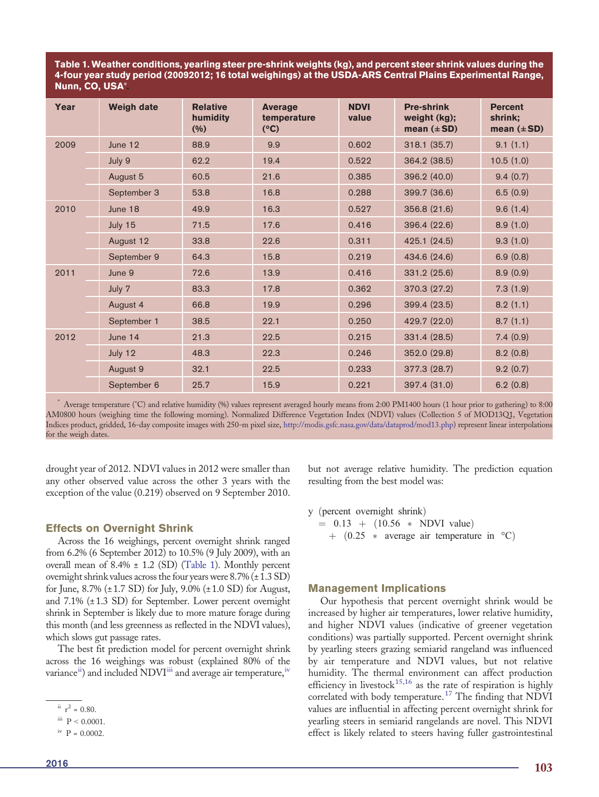<span id="page-2-0"></span>Table 1. Weather conditions, yearling steer pre-shrink weights (kg), and percent steer shrink values during the 4-four year study period (20092012; 16 total weighings) at the USDA-ARS Central Plains Experimental Range, Nunn, CO, USA\*.

| Year | <b>Weigh date</b> | <b>Relative</b><br>humidity<br>(% ) | <b>Average</b><br>temperature<br>(C) | <b>NDVI</b><br>value | <b>Pre-shrink</b><br>weight (kg);<br>mean $(\pm SD)$ | <b>Percent</b><br>shrink;<br>mean $(\pm SD)$ |
|------|-------------------|-------------------------------------|--------------------------------------|----------------------|------------------------------------------------------|----------------------------------------------|
| 2009 | June 12           | 88.9                                | 9.9                                  | 0.602                | 318.1 (35.7)                                         | 9.1(1.1)                                     |
|      | July 9            | 62.2                                | 19.4                                 | 0.522                | 364.2 (38.5)                                         | 10.5(1.0)                                    |
|      | August 5          | 60.5                                | 21.6                                 | 0.385                | 396.2 (40.0)                                         | 9.4(0.7)                                     |
|      | September 3       | 53.8                                | 16.8                                 | 0.288                | 399.7 (36.6)                                         | 6.5(0.9)                                     |
| 2010 | June 18           | 49.9                                | 16.3                                 | 0.527                | 356.8 (21.6)                                         | 9.6(1.4)                                     |
|      | July 15           | 71.5                                | 17.6                                 | 0.416                | 396.4 (22.6)                                         | 8.9(1.0)                                     |
|      | August 12         | 33.8                                | 22.6                                 | 0.311                | 425.1 (24.5)                                         | 9.3(1.0)                                     |
|      | September 9       | 64.3                                | 15.8                                 | 0.219                | 434.6 (24.6)                                         | 6.9(0.8)                                     |
| 2011 | June 9            | 72.6                                | 13.9                                 | 0.416                | 331.2 (25.6)                                         | 8.9(0.9)                                     |
|      | July 7            | 83.3                                | 17.8                                 | 0.362                | 370.3 (27.2)                                         | 7.3(1.9)                                     |
|      | August 4          | 66.8                                | 19.9                                 | 0.296                | 399.4 (23.5)                                         | 8.2(1.1)                                     |
|      | September 1       | 38.5                                | 22.1                                 | 0.250                | 429.7 (22.0)                                         | 8.7(1.1)                                     |
| 2012 | June 14           | 21.3                                | 22.5                                 | 0.215                | 331.4 (28.5)                                         | 7.4(0.9)                                     |
|      | July 12           | 48.3                                | 22.3                                 | 0.246                | 352.0 (29.8)                                         | 8.2(0.8)                                     |
|      | August 9          | 32.1                                | 22.5                                 | 0.233                | 377.3 (28.7)                                         | 9.2(0.7)                                     |
|      | September 6       | 25.7                                | 15.9                                 | 0.221                | 397.4 (31.0)                                         | 6.2(0.8)                                     |

\* Average temperature (°C) and relative humidity (%) values represent averaged hourly means from 2:00 PM1400 hours (1 hour prior to gathering) to 8:00 AM0800 hours (weighing time the following morning). Normalized Difference Vegetation Index (NDVI) values (Collection 5 of MOD13Q1, Vegetation Indices product, gridded, 16-day composite images with 250-m pixel size, [http://modis.gsfc.nasa.gov/data/dataprod/mod13.php\)](http://modis.gsfc.nasa.gov/data/dataprod/mod13.php) represent linear interpolations for the weigh dates

drought year of 2012. NDVI values in 2012 were smaller than any other observed value across the other 3 years with the exception of the value (0.219) observed on 9 September 2010.

#### Effects on Overnight Shrink

Across the 16 weighings, percent overnight shrink ranged from 6.2% (6 September 2012) to 10.5% (9 July 2009), with an overall mean of  $8.4\% \pm 1.2$  (SD) (Table 1). Monthly percent overnight shrink values across the four years were 8.7% (±1.3 SD) for June,  $8.7\%$  ( $\pm$  1.7 SD) for July,  $9.0\%$  ( $\pm$  1.0 SD) for August, and 7.1% (± 1.3 SD) for September. Lower percent overnight shrink in September is likely due to more mature forage during this month (and less greenness as reflected in the NDVI values), which slows gut passage rates.

The best fit prediction model for percent overnight shrink across the 16 weighings was robust (explained 80% of the variance<sup>ii</sup>) and included NDVI<sup>iii</sup> and average air temperature,<sup>iv</sup>

but not average relative humidity. The prediction equation resulting from the best model was:

y (percent overnight shrink)

$$
= 0.13 + (10.56 * NDVI value)
$$
  
+ (0.25 \* average air temperature in °C)

#### Management Implications

Our hypothesis that percent overnight shrink would be increased by higher air temperatures, lower relative humidity, and higher NDVI values (indicative of greener vegetation conditions) was partially supported. Percent overnight shrink by yearling steers grazing semiarid rangeland was influenced by air temperature and NDVI values, but not relative humidity. The thermal environment can affect production efficiency in livestoc[k](#page-3-0)<sup>[15,16](#page-3-0)</sup> as the rate of respiration is highly correlated with body temperature[.](#page-3-0)<sup>[17](#page-3-0)</sup> The finding that NDVI values are influential in affecting percent overnight shrink for yearling steers in semiarid rangelands are novel. This NDVI effect is likely related to steers having fuller gastrointestinal

 $\mu^2 = 0.80$ .

 $\frac{iii}{P}$  P < 0.0001.

 $\rm{iv}$  P = 0.0002.